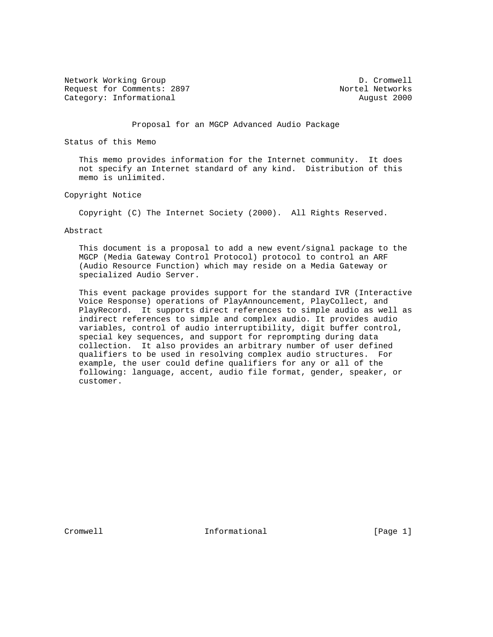Network Working Group and the control of the D. Cromwell Request for Comments: 2897 Nortel Networks Category: Informational and August 2000

## Proposal for an MGCP Advanced Audio Package

Status of this Memo

 This memo provides information for the Internet community. It does not specify an Internet standard of any kind. Distribution of this memo is unlimited.

Copyright Notice

Copyright (C) The Internet Society (2000). All Rights Reserved.

#### Abstract

 This document is a proposal to add a new event/signal package to the MGCP (Media Gateway Control Protocol) protocol to control an ARF (Audio Resource Function) which may reside on a Media Gateway or specialized Audio Server.

 This event package provides support for the standard IVR (Interactive Voice Response) operations of PlayAnnouncement, PlayCollect, and PlayRecord. It supports direct references to simple audio as well as indirect references to simple and complex audio. It provides audio variables, control of audio interruptibility, digit buffer control, special key sequences, and support for reprompting during data collection. It also provides an arbitrary number of user defined qualifiers to be used in resolving complex audio structures. For example, the user could define qualifiers for any or all of the following: language, accent, audio file format, gender, speaker, or customer.

Cromwell **Informational** Informational [Page 1]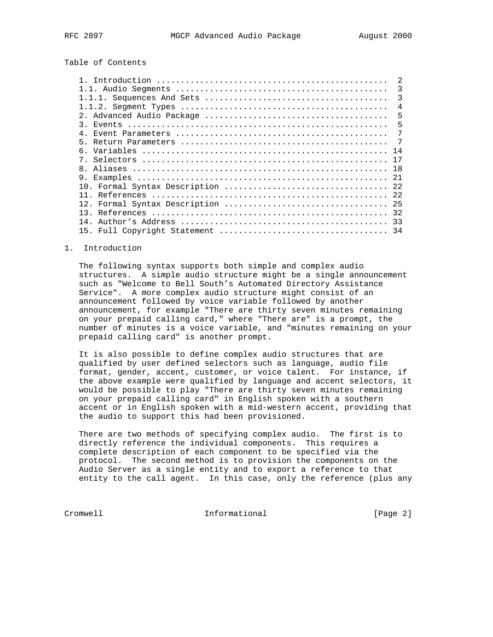Table of Contents

|    | 2              |
|----|----------------|
|    | 3              |
|    | 3              |
|    | $\overline{4}$ |
|    | 5              |
| 3. | 5              |
| 4. | 7              |
| 5. | - 7            |
|    |                |
|    | 17             |
| 8  |                |
|    |                |
|    |                |
|    |                |
|    |                |
|    | 32             |
| 14 |                |
|    |                |

## 1. Introduction

 The following syntax supports both simple and complex audio structures. A simple audio structure might be a single announcement such as "Welcome to Bell South's Automated Directory Assistance Service". A more complex audio structure might consist of an announcement followed by voice variable followed by another announcement, for example "There are thirty seven minutes remaining on your prepaid calling card," where "There are" is a prompt, the number of minutes is a voice variable, and "minutes remaining on your prepaid calling card" is another prompt.

 It is also possible to define complex audio structures that are qualified by user defined selectors such as language, audio file format, gender, accent, customer, or voice talent. For instance, if the above example were qualified by language and accent selectors, it would be possible to play "There are thirty seven minutes remaining on your prepaid calling card" in English spoken with a southern accent or in English spoken with a mid-western accent, providing that the audio to support this had been provisioned.

 There are two methods of specifying complex audio. The first is to directly reference the individual components. This requires a complete description of each component to be specified via the protocol. The second method is to provision the components on the Audio Server as a single entity and to export a reference to that entity to the call agent. In this case, only the reference (plus any

Cromwell Informational [Page 2]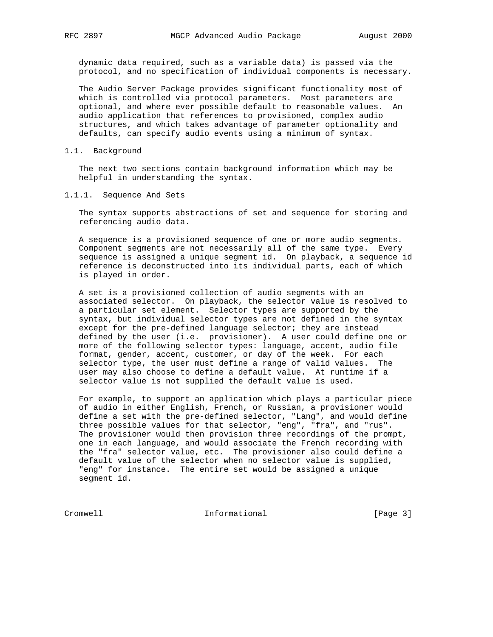dynamic data required, such as a variable data) is passed via the protocol, and no specification of individual components is necessary.

 The Audio Server Package provides significant functionality most of which is controlled via protocol parameters. Most parameters are optional, and where ever possible default to reasonable values. An audio application that references to provisioned, complex audio structures, and which takes advantage of parameter optionality and defaults, can specify audio events using a minimum of syntax.

### 1.1. Background

 The next two sections contain background information which may be helpful in understanding the syntax.

1.1.1. Sequence And Sets

 The syntax supports abstractions of set and sequence for storing and referencing audio data.

 A sequence is a provisioned sequence of one or more audio segments. Component segments are not necessarily all of the same type. Every sequence is assigned a unique segment id. On playback, a sequence id reference is deconstructed into its individual parts, each of which is played in order.

 A set is a provisioned collection of audio segments with an associated selector. On playback, the selector value is resolved to a particular set element. Selector types are supported by the syntax, but individual selector types are not defined in the syntax except for the pre-defined language selector; they are instead defined by the user (i.e. provisioner). A user could define one or more of the following selector types: language, accent, audio file format, gender, accent, customer, or day of the week. For each selector type, the user must define a range of valid values. The user may also choose to define a default value. At runtime if a selector value is not supplied the default value is used.

 For example, to support an application which plays a particular piece of audio in either English, French, or Russian, a provisioner would define a set with the pre-defined selector, "Lang", and would define three possible values for that selector, "eng", "fra", and "rus". The provisioner would then provision three recordings of the prompt, one in each language, and would associate the French recording with the "fra" selector value, etc. The provisioner also could define a default value of the selector when no selector value is supplied, "eng" for instance. The entire set would be assigned a unique segment id.

Cromwell **Informational** Informational [Page 3]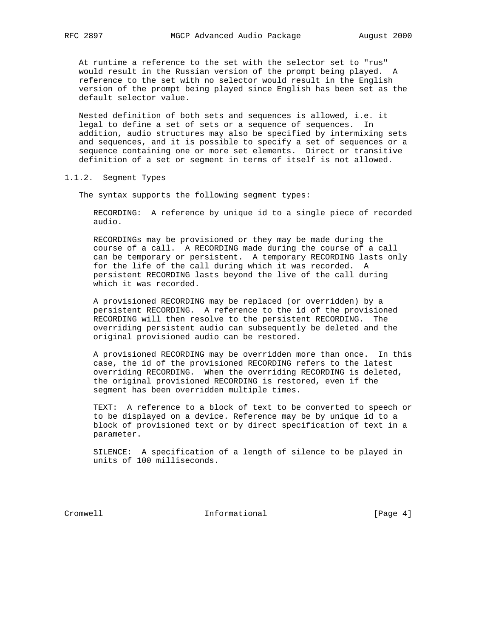At runtime a reference to the set with the selector set to "rus" would result in the Russian version of the prompt being played. A reference to the set with no selector would result in the English version of the prompt being played since English has been set as the default selector value.

 Nested definition of both sets and sequences is allowed, i.e. it legal to define a set of sets or a sequence of sequences. In addition, audio structures may also be specified by intermixing sets and sequences, and it is possible to specify a set of sequences or a sequence containing one or more set elements. Direct or transitive definition of a set or segment in terms of itself is not allowed.

1.1.2. Segment Types

The syntax supports the following segment types:

 RECORDING: A reference by unique id to a single piece of recorded audio.

 RECORDINGs may be provisioned or they may be made during the course of a call. A RECORDING made during the course of a call can be temporary or persistent. A temporary RECORDING lasts only for the life of the call during which it was recorded. A persistent RECORDING lasts beyond the live of the call during which it was recorded.

 A provisioned RECORDING may be replaced (or overridden) by a persistent RECORDING. A reference to the id of the provisioned RECORDING will then resolve to the persistent RECORDING. The overriding persistent audio can subsequently be deleted and the original provisioned audio can be restored.

 A provisioned RECORDING may be overridden more than once. In this case, the id of the provisioned RECORDING refers to the latest overriding RECORDING. When the overriding RECORDING is deleted, the original provisioned RECORDING is restored, even if the segment has been overridden multiple times.

 TEXT: A reference to a block of text to be converted to speech or to be displayed on a device. Reference may be by unique id to a block of provisioned text or by direct specification of text in a parameter.

 SILENCE: A specification of a length of silence to be played in units of 100 milliseconds.

Cromwell **Informational** Informational [Page 4]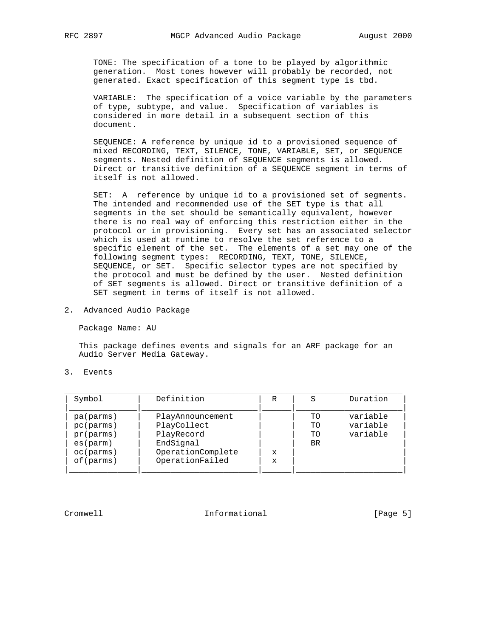TONE: The specification of a tone to be played by algorithmic generation. Most tones however will probably be recorded, not generated. Exact specification of this segment type is tbd.

 VARIABLE: The specification of a voice variable by the parameters of type, subtype, and value. Specification of variables is considered in more detail in a subsequent section of this document.

 SEQUENCE: A reference by unique id to a provisioned sequence of mixed RECORDING, TEXT, SILENCE, TONE, VARIABLE, SET, or SEQUENCE segments. Nested definition of SEQUENCE segments is allowed. Direct or transitive definition of a SEQUENCE segment in terms of itself is not allowed.

 SET: A reference by unique id to a provisioned set of segments. The intended and recommended use of the SET type is that all segments in the set should be semantically equivalent, however there is no real way of enforcing this restriction either in the protocol or in provisioning. Every set has an associated selector which is used at runtime to resolve the set reference to a specific element of the set. The elements of a set may one of the following segment types: RECORDING, TEXT, TONE, SILENCE, SEQUENCE, or SET. Specific selector types are not specified by the protocol and must be defined by the user. Nested definition of SET segments is allowed. Direct or transitive definition of a SET segment in terms of itself is not allowed.

2. Advanced Audio Package

Package Name: AU

 This package defines events and signals for an ARF package for an Audio Server Media Gateway.

3. Events

| Symbol     | Definition        | R           | S  | Duration |
|------------|-------------------|-------------|----|----------|
| pa(parms)  | PlayAnnouncement  |             | TO | variable |
| pc(parms)  | PlayCollect       |             | TΟ | variable |
| pr(parms)  | PlayRecord        |             | TΟ | variable |
| es(param)  | EndSignal         |             | BR |          |
| oc(parms)  | OperationComplete | $\mathbf x$ |    |          |
| of (parms) | OperationFailed   | $\mathbf x$ |    |          |
|            |                   |             |    |          |

Cromwell **Informational** Informational [Page 5]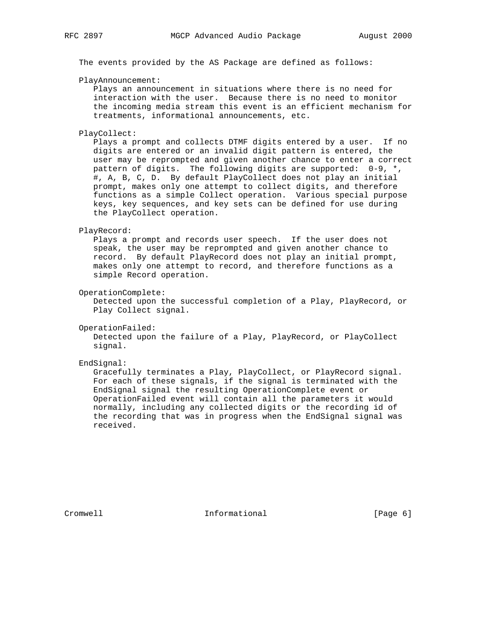The events provided by the AS Package are defined as follows:

PlayAnnouncement:

 Plays an announcement in situations where there is no need for interaction with the user. Because there is no need to monitor the incoming media stream this event is an efficient mechanism for treatments, informational announcements, etc.

PlayCollect:

 Plays a prompt and collects DTMF digits entered by a user. If no digits are entered or an invalid digit pattern is entered, the user may be reprompted and given another chance to enter a correct pattern of digits. The following digits are supported: 0-9, \*, #, A, B, C, D. By default PlayCollect does not play an initial prompt, makes only one attempt to collect digits, and therefore functions as a simple Collect operation. Various special purpose keys, key sequences, and key sets can be defined for use during the PlayCollect operation.

#### PlayRecord:

 Plays a prompt and records user speech. If the user does not speak, the user may be reprompted and given another chance to record. By default PlayRecord does not play an initial prompt, makes only one attempt to record, and therefore functions as a simple Record operation.

OperationComplete:

 Detected upon the successful completion of a Play, PlayRecord, or Play Collect signal.

OperationFailed:

 Detected upon the failure of a Play, PlayRecord, or PlayCollect signal.

EndSignal:

 Gracefully terminates a Play, PlayCollect, or PlayRecord signal. For each of these signals, if the signal is terminated with the EndSignal signal the resulting OperationComplete event or OperationFailed event will contain all the parameters it would normally, including any collected digits or the recording id of the recording that was in progress when the EndSignal signal was received.

Cromwell **Informational** Informational [Page 6]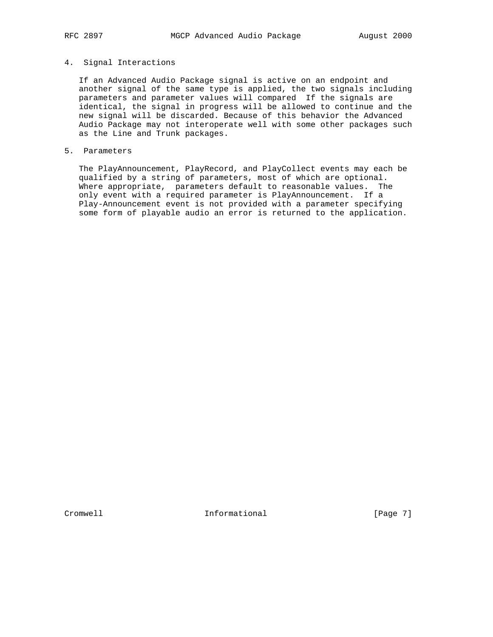# 4. Signal Interactions

 If an Advanced Audio Package signal is active on an endpoint and another signal of the same type is applied, the two signals including parameters and parameter values will compared If the signals are identical, the signal in progress will be allowed to continue and the new signal will be discarded. Because of this behavior the Advanced Audio Package may not interoperate well with some other packages such as the Line and Trunk packages.

# 5. Parameters

 The PlayAnnouncement, PlayRecord, and PlayCollect events may each be qualified by a string of parameters, most of which are optional. Where appropriate, parameters default to reasonable values. The only event with a required parameter is PlayAnnouncement. If a Play-Announcement event is not provided with a parameter specifying some form of playable audio an error is returned to the application.

Cromwell **Informational** Informational [Page 7]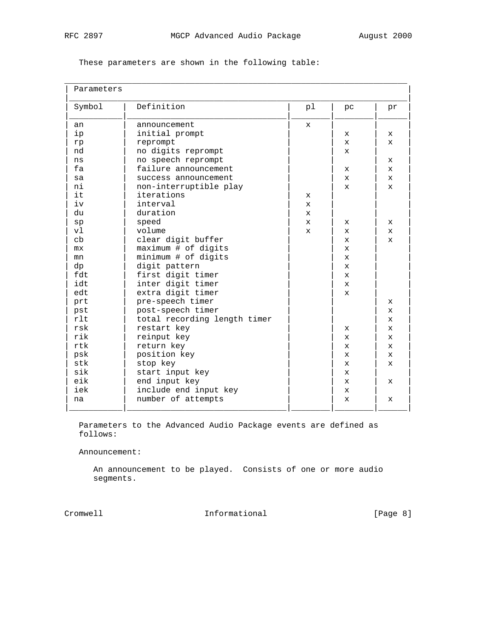| Parameters |                              |              |              |             |
|------------|------------------------------|--------------|--------------|-------------|
| Symbol     | Definition                   | рl           | pc           | pr          |
| an         | announcement                 | $\mathbf{x}$ |              |             |
| ip         | initial prompt               |              | X            | x           |
| rp         | reprompt                     |              | $\mathbf{x}$ | $\mathbf x$ |
| nd         | no digits reprompt           |              | x            |             |
| ns         | no speech reprompt           |              |              | x           |
| fa         | failure announcement         |              | $\mathbf{x}$ | $\mathbf x$ |
| sa         | success announcement         |              | $\mathbf{x}$ | X           |
| ni         | non-interruptible play       |              | X            | X           |
| it         | iterations                   | X            |              |             |
| iv         | interval                     | $\mathbf x$  |              |             |
| du         | duration                     | X            |              |             |
| sp         | speed                        | X            | x            | x           |
| vl         | volume                       | $\mathbf{x}$ | $\mathbf x$  | $\mathbf x$ |
| cb         | clear digit buffer           |              | x            | $\mathbf x$ |
| mx         | maximum # of digits          |              | x            |             |
| mn         | minimum # of digits          |              | x            |             |
| dp         | digit pattern                |              | x            |             |
| fdt        | first digit timer            |              | $\mathbf x$  |             |
| idt        | inter digit timer            |              | x            |             |
| edt        | extra digit timer            |              | $\mathbf{x}$ |             |
| prt        | pre-speech timer             |              |              | X           |
| pst        | post-speech timer            |              |              | X           |
| rlt        | total recording length timer |              |              | x           |
| rsk        | restart key                  |              | x            | x           |
| rik        | reinput key                  |              | $\mathbf x$  | X           |
| rtk        | return key                   |              | $\mathbf x$  | $\mathbf x$ |
| psk        | position key                 |              | $\mathbf x$  | $\mathbf x$ |
| stk        | stop key                     |              | X            | X           |
| sik        | start input key              |              | X            |             |
| eik        | end input key                |              | X            | x           |
| iek        | include end input key        |              | x            |             |
| na         | number of attempts           |              | X            | X           |
|            |                              |              |              |             |

These parameters are shown in the following table:

 Parameters to the Advanced Audio Package events are defined as follows:

Announcement:

 An announcement to be played. Consists of one or more audio segments.

Cromwell **Informational** Informational [Page 8]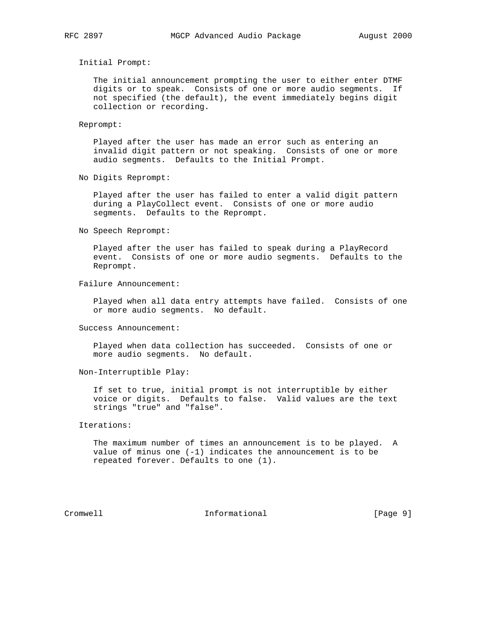Initial Prompt:

 The initial announcement prompting the user to either enter DTMF digits or to speak. Consists of one or more audio segments. If not specified (the default), the event immediately begins digit collection or recording.

Reprompt:

 Played after the user has made an error such as entering an invalid digit pattern or not speaking. Consists of one or more audio segments. Defaults to the Initial Prompt.

No Digits Reprompt:

 Played after the user has failed to enter a valid digit pattern during a PlayCollect event. Consists of one or more audio segments. Defaults to the Reprompt.

No Speech Reprompt:

 Played after the user has failed to speak during a PlayRecord event. Consists of one or more audio segments. Defaults to the Reprompt.

Failure Announcement:

 Played when all data entry attempts have failed. Consists of one or more audio segments. No default.

Success Announcement:

 Played when data collection has succeeded. Consists of one or more audio segments. No default.

Non-Interruptible Play:

 If set to true, initial prompt is not interruptible by either voice or digits. Defaults to false. Valid values are the text strings "true" and "false".

### Iterations:

 The maximum number of times an announcement is to be played. A value of minus one  $(-1)$  indicates the announcement is to be repeated forever. Defaults to one (1).

Cromwell Informational [Page 9]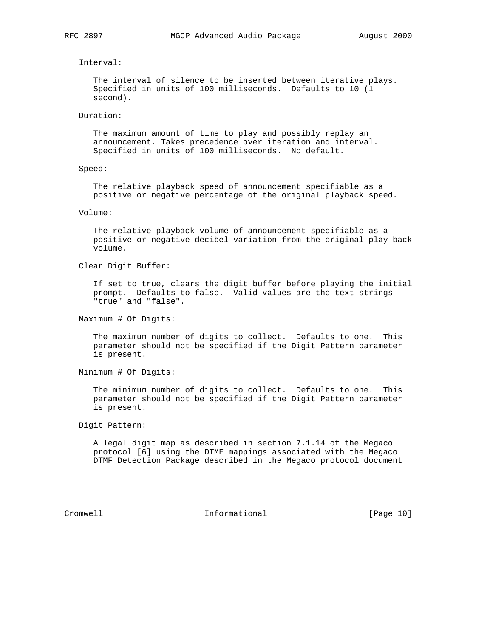## Interval:

 The interval of silence to be inserted between iterative plays. Specified in units of 100 milliseconds. Defaults to 10 (1 second).

## Duration:

 The maximum amount of time to play and possibly replay an announcement. Takes precedence over iteration and interval. Specified in units of 100 milliseconds. No default.

#### Speed:

 The relative playback speed of announcement specifiable as a positive or negative percentage of the original playback speed.

Volume:

 The relative playback volume of announcement specifiable as a positive or negative decibel variation from the original play-back volume.

Clear Digit Buffer:

 If set to true, clears the digit buffer before playing the initial prompt. Defaults to false. Valid values are the text strings "true" and "false".

Maximum # Of Digits:

 The maximum number of digits to collect. Defaults to one. This parameter should not be specified if the Digit Pattern parameter is present.

Minimum # Of Digits:

 The minimum number of digits to collect. Defaults to one. This parameter should not be specified if the Digit Pattern parameter is present.

Digit Pattern:

 A legal digit map as described in section 7.1.14 of the Megaco protocol [6] using the DTMF mappings associated with the Megaco DTMF Detection Package described in the Megaco protocol document

Cromwell Informational [Page 10]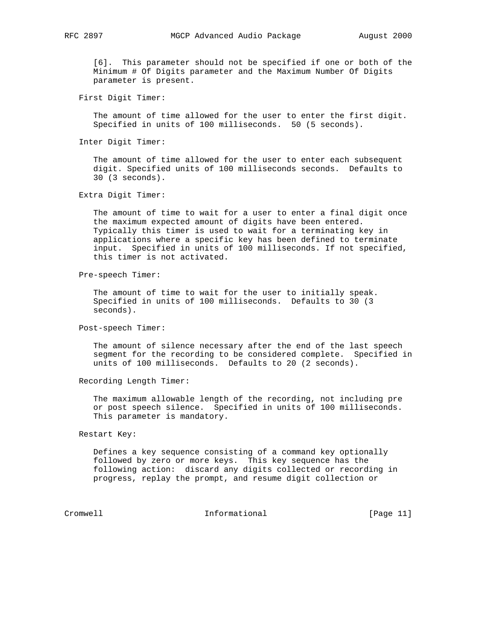[6]. This parameter should not be specified if one or both of the Minimum # Of Digits parameter and the Maximum Number Of Digits parameter is present.

First Digit Timer:

 The amount of time allowed for the user to enter the first digit. Specified in units of 100 milliseconds. 50 (5 seconds).

Inter Digit Timer:

 The amount of time allowed for the user to enter each subsequent digit. Specified units of 100 milliseconds seconds. Defaults to 30 (3 seconds).

Extra Digit Timer:

 The amount of time to wait for a user to enter a final digit once the maximum expected amount of digits have been entered. Typically this timer is used to wait for a terminating key in applications where a specific key has been defined to terminate input. Specified in units of 100 milliseconds. If not specified, this timer is not activated.

Pre-speech Timer:

 The amount of time to wait for the user to initially speak. Specified in units of 100 milliseconds. Defaults to 30 (3 seconds).

Post-speech Timer:

 The amount of silence necessary after the end of the last speech segment for the recording to be considered complete. Specified in units of 100 milliseconds. Defaults to 20 (2 seconds).

Recording Length Timer:

 The maximum allowable length of the recording, not including pre or post speech silence. Specified in units of 100 milliseconds. This parameter is mandatory.

Restart Key:

 Defines a key sequence consisting of a command key optionally followed by zero or more keys. This key sequence has the following action: discard any digits collected or recording in progress, replay the prompt, and resume digit collection or

Cromwell **Informational** [Page 11]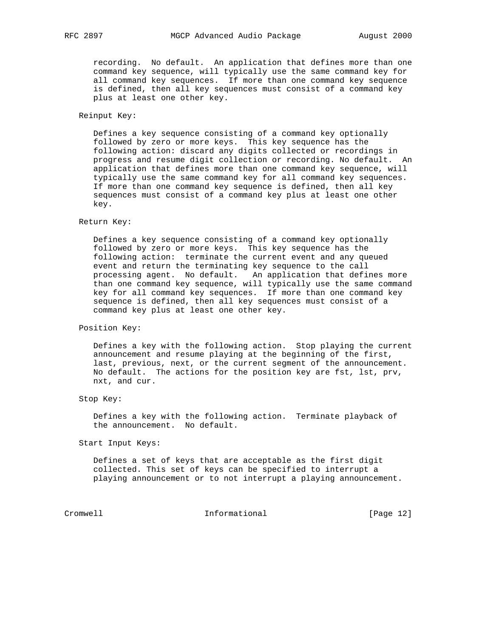recording. No default. An application that defines more than one command key sequence, will typically use the same command key for all command key sequences. If more than one command key sequence is defined, then all key sequences must consist of a command key plus at least one other key.

# Reinput Key:

 Defines a key sequence consisting of a command key optionally followed by zero or more keys. This key sequence has the following action: discard any digits collected or recordings in progress and resume digit collection or recording. No default. An application that defines more than one command key sequence, will typically use the same command key for all command key sequences. If more than one command key sequence is defined, then all key sequences must consist of a command key plus at least one other key.

#### Return Key:

 Defines a key sequence consisting of a command key optionally followed by zero or more keys. This key sequence has the following action: terminate the current event and any queued event and return the terminating key sequence to the call processing agent. No default. An application that defines more than one command key sequence, will typically use the same command key for all command key sequences. If more than one command key sequence is defined, then all key sequences must consist of a command key plus at least one other key.

## Position Key:

 Defines a key with the following action. Stop playing the current announcement and resume playing at the beginning of the first, last, previous, next, or the current segment of the announcement. No default. The actions for the position key are fst, lst, prv, nxt, and cur.

## Stop Key:

 Defines a key with the following action. Terminate playback of the announcement. No default.

Start Input Keys:

 Defines a set of keys that are acceptable as the first digit collected. This set of keys can be specified to interrupt a playing announcement or to not interrupt a playing announcement.

Cromwell **Informational** Informational [Page 12]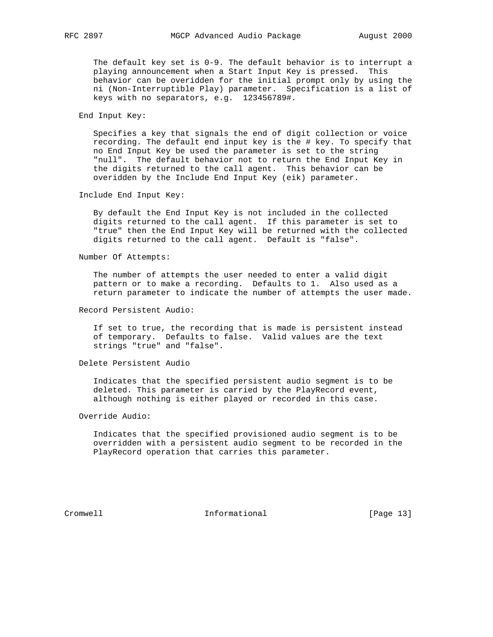The default key set is 0-9. The default behavior is to interrupt a playing announcement when a Start Input Key is pressed. This behavior can be overidden for the initial prompt only by using the ni (Non-Interruptible Play) parameter. Specification is a list of keys with no separators, e.g. 123456789#.

# End Input Key:

 Specifies a key that signals the end of digit collection or voice recording. The default end input key is the # key. To specify that no End Input Key be used the parameter is set to the string "null". The default behavior not to return the End Input Key in the digits returned to the call agent. This behavior can be overidden by the Include End Input Key (eik) parameter.

Include End Input Key:

 By default the End Input Key is not included in the collected digits returned to the call agent. If this parameter is set to "true" then the End Input Key will be returned with the collected digits returned to the call agent. Default is "false".

Number Of Attempts:

 The number of attempts the user needed to enter a valid digit pattern or to make a recording. Defaults to 1. Also used as a return parameter to indicate the number of attempts the user made.

Record Persistent Audio:

 If set to true, the recording that is made is persistent instead of temporary. Defaults to false. Valid values are the text strings "true" and "false".

### Delete Persistent Audio

 Indicates that the specified persistent audio segment is to be deleted. This parameter is carried by the PlayRecord event, although nothing is either played or recorded in this case.

Override Audio:

 Indicates that the specified provisioned audio segment is to be overridden with a persistent audio segment to be recorded in the PlayRecord operation that carries this parameter.

Cromwell Informational [Page 13]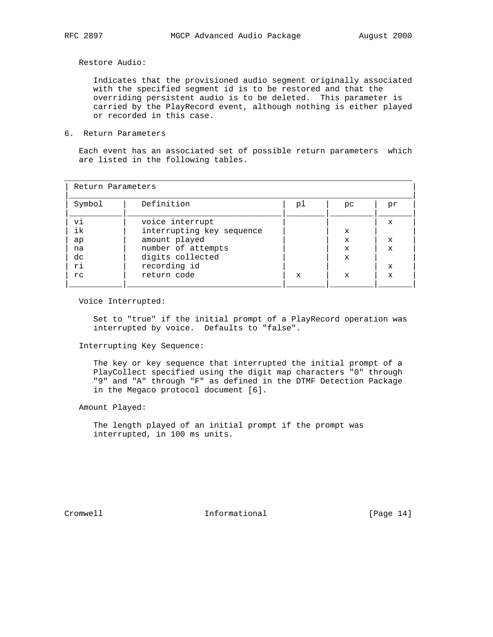Restore Audio:

 Indicates that the provisioned audio segment originally associated with the specified segment id is to be restored and that the overriding persistent audio is to be deleted. This parameter is carried by the PlayRecord event, although nothing is either played or recorded in this case.

6. Return Parameters

 Each event has an associated set of possible return parameters which are listed in the following tables.

| Return Parameters |                           |    |              |              |
|-------------------|---------------------------|----|--------------|--------------|
| Symbol            | Definition                | рl | pc           | pr           |
| vi                | voice interrupt           |    |              | X            |
| ik                | interrupting key sequence |    | $\mathbf x$  |              |
| ap                | amount played             |    | $\mathbf{x}$ | X            |
| na                | number of attempts        |    | $\mathbf x$  | X            |
| dc                | digits collected          |    | $\mathbf{x}$ |              |
| ri                | recording id              |    |              | X            |
| rc                | return code               | X  | $\mathbf x$  | $\mathbf{x}$ |
|                   |                           |    |              |              |

Voice Interrupted:

 Set to "true" if the initial prompt of a PlayRecord operation was interrupted by voice. Defaults to "false".

Interrupting Key Sequence:

 The key or key sequence that interrupted the initial prompt of a PlayCollect specified using the digit map characters "0" through "9" and "A" through "F" as defined in the DTMF Detection Package in the Megaco protocol document [6].

Amount Played:

 The length played of an initial prompt if the prompt was interrupted, in 100 ms units.

Cromwell Informational [Page 14]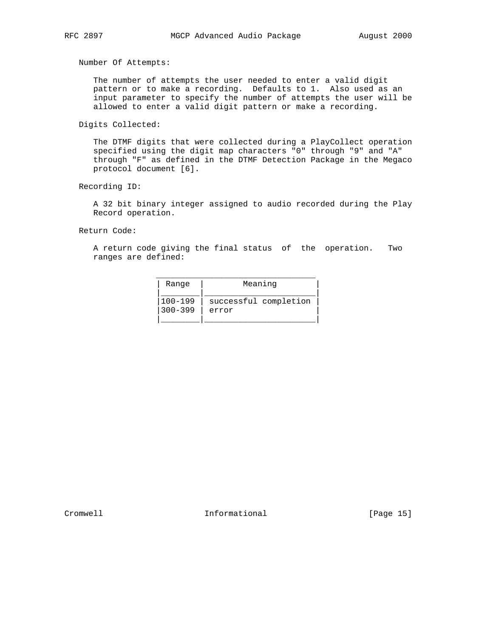Number Of Attempts:

 The number of attempts the user needed to enter a valid digit pattern or to make a recording. Defaults to 1. Also used as an input parameter to specify the number of attempts the user will be allowed to enter a valid digit pattern or make a recording.

Digits Collected:

 The DTMF digits that were collected during a PlayCollect operation specified using the digit map characters "0" through "9" and "A" through "F" as defined in the DTMF Detection Package in the Megaco protocol document [6].

Recording ID:

 A 32 bit binary integer assigned to audio recorded during the Play Record operation.

Return Code:

 A return code giving the final status of the operation. Two ranges are defined:

| Range       | Meaning               |
|-------------|-----------------------|
| $100 - 199$ | successful completion |
| 300-399     | error                 |

Cromwell Informational [Page 15]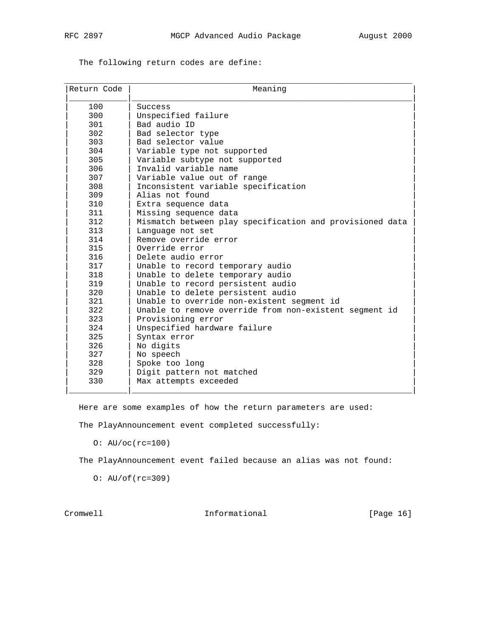The following return codes are define:

| Return Code | Meaning                                                  |
|-------------|----------------------------------------------------------|
| 100         | Success                                                  |
| 300         | Unspecified failure                                      |
| 301         | Bad audio ID                                             |
| 302         | Bad selector type                                        |
| 303         | Bad selector value                                       |
| 304         | Variable type not supported                              |
| 305         | Variable subtype not supported                           |
| 306         | Invalid variable name                                    |
| 307         | Variable value out of range                              |
| 308         | Inconsistent variable specification                      |
| 309         | Alias not found                                          |
| 310         | Extra sequence data                                      |
| 311         | Missing sequence data                                    |
| 312         | Mismatch between play specification and provisioned data |
| 313         | Language not set                                         |
| 314         | Remove override error                                    |
| 315         | Override error                                           |
| 316         | Delete audio error                                       |
| 317         | Unable to record temporary audio                         |
| 318         | Unable to delete temporary audio                         |
| 319         | Unable to record persistent audio                        |
| 320         | Unable to delete persistent audio                        |
| 321         | Unable to override non-existent segment id               |
| 322         | Unable to remove override from non-existent segment id   |
| 323         | Provisioning error                                       |
| 324         | Unspecified hardware failure                             |
| 325         | Syntax error                                             |
| 326         | No digits                                                |
| 327         | No speech                                                |
| 328         | Spoke too long                                           |
| 329         | Digit pattern not matched                                |
| 330         | Max attempts exceeded                                    |

Here are some examples of how the return parameters are used:

The PlayAnnouncement event completed successfully:

O: AU/oc(rc=100)

The PlayAnnouncement event failed because an alias was not found:

O: AU/of(rc=309)

Cromwell **Informational** [Page 16]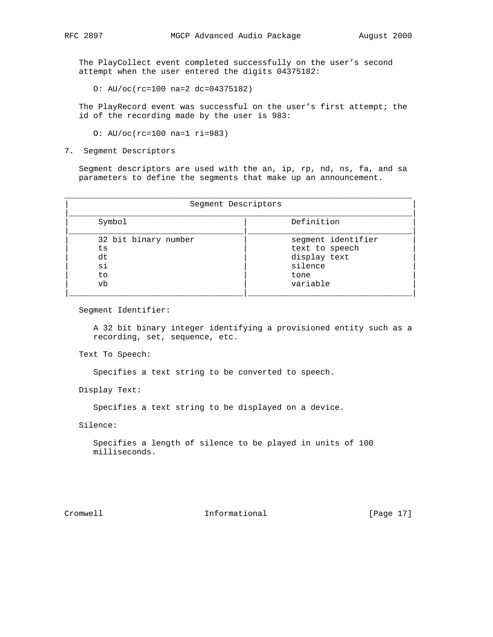The PlayCollect event completed successfully on the user's second attempt when the user entered the digits 04375182:

O: AU/oc(rc=100 na=2 dc=04375182)

 The PlayRecord event was successful on the user's first attempt; the id of the recording made by the user is 983:

O: AU/oc(rc=100 na=1 ri=983)

7. Segment Descriptors

 Segment descriptors are used with the an, ip, rp, nd, ns, fa, and sa parameters to define the segments that make up an announcement.

| Segment Descriptors  |                    |
|----------------------|--------------------|
| Symbol               | Definition         |
| 32 bit binary number | segment identifier |
| ts                   | text to speech     |
| dt                   | display text       |
| si                   | silence            |
| to                   | tone               |
| vb                   | variable           |

Segment Identifier:

 A 32 bit binary integer identifying a provisioned entity such as a recording, set, sequence, etc.

Text To Speech:

Specifies a text string to be converted to speech.

Display Text:

Specifies a text string to be displayed on a device.

Silence:

 Specifies a length of silence to be played in units of 100 milliseconds.

Cromwell Informational [Page 17]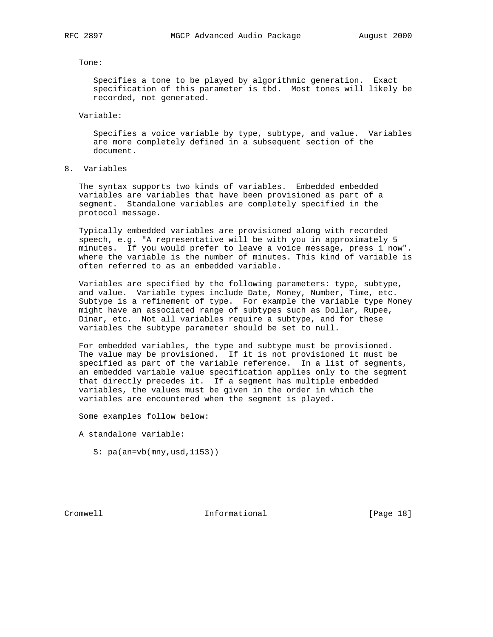## Tone:

 Specifies a tone to be played by algorithmic generation. Exact specification of this parameter is tbd. Most tones will likely be recorded, not generated.

Variable:

 Specifies a voice variable by type, subtype, and value. Variables are more completely defined in a subsequent section of the document.

8. Variables

 The syntax supports two kinds of variables. Embedded embedded variables are variables that have been provisioned as part of a segment. Standalone variables are completely specified in the protocol message.

 Typically embedded variables are provisioned along with recorded speech, e.g. "A representative will be with you in approximately 5 minutes. If you would prefer to leave a voice message, press 1 now". where the variable is the number of minutes. This kind of variable is often referred to as an embedded variable.

 Variables are specified by the following parameters: type, subtype, and value. Variable types include Date, Money, Number, Time, etc. Subtype is a refinement of type. For example the variable type Money might have an associated range of subtypes such as Dollar, Rupee, Dinar, etc. Not all variables require a subtype, and for these variables the subtype parameter should be set to null.

 For embedded variables, the type and subtype must be provisioned. The value may be provisioned. If it is not provisioned it must be specified as part of the variable reference. In a list of segments, an embedded variable value specification applies only to the segment that directly precedes it. If a segment has multiple embedded variables, the values must be given in the order in which the variables are encountered when the segment is played.

Some examples follow below:

A standalone variable:

S:  $pa(an=vb(mny,usd,1153))$ 

Cromwell Informational [Page 18]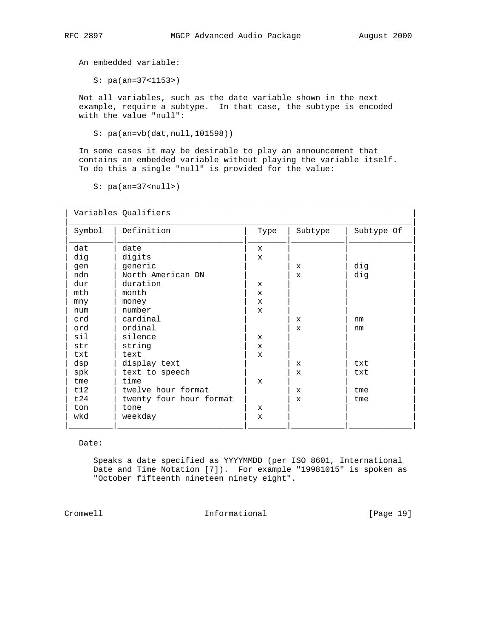An embedded variable:

S: pa(an=37<1153>)

 Not all variables, such as the date variable shown in the next example, require a subtype. In that case, the subtype is encoded with the value "null":

S: pa(an=vb(dat,null,101598))

 In some cases it may be desirable to play an announcement that contains an embedded variable without playing the variable itself. To do this a single "null" is provided for the value:

S: pa(an=37<null>)

|        | Variables Qualifiers    |              |              |            |
|--------|-------------------------|--------------|--------------|------------|
| Symbol | Definition              | Type         | Subtype      | Subtype Of |
| dat    | date                    | X            |              |            |
| dig    | digits                  | $\mathbf{x}$ |              |            |
| qen    | generic                 |              | $\mathbf{x}$ | dig        |
| ndn    | North American DN       |              | X            | dig        |
| dur    | duration                | $\mathbf{x}$ |              |            |
| mth    | month                   | $\mathbf{x}$ |              |            |
| mny    | money                   | $\mathbf{x}$ |              |            |
| num    | number                  | $\mathbf{x}$ |              |            |
| crd    | cardinal                |              | $\mathbf{x}$ | nm         |
| ord    | ordinal                 |              | $\mathbf{x}$ | nm         |
| sil    | silence                 | $\mathbf{x}$ |              |            |
| str    | string                  | $\mathbf{x}$ |              |            |
| txt    | text                    | $\mathbf{x}$ |              |            |
| dsp    | display text            |              | x            | txt        |
| spk    | text to speech          |              | $\mathbf x$  | txt        |
| tme    | time                    | $\mathbf{x}$ |              |            |
| t12    | twelve hour format      |              | $\mathbf{x}$ | tme        |
| t24    | twenty four hour format |              | $\mathbf x$  | tme        |
| ton    | tone                    | $\mathbf{x}$ |              |            |
| wkd    | weekday                 | $\mathbf{x}$ |              |            |
|        |                         |              |              |            |

Date:

 Speaks a date specified as YYYYMMDD (per ISO 8601, International Date and Time Notation [7]). For example "19981015" is spoken as "October fifteenth nineteen ninety eight".

Cromwell Informational [Page 19]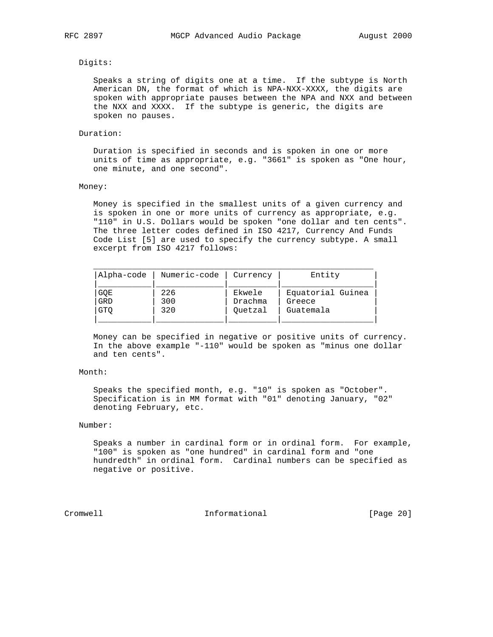### Digits:

 Speaks a string of digits one at a time. If the subtype is North American DN, the format of which is NPA-NXX-XXXX, the digits are spoken with appropriate pauses between the NPA and NXX and between the NXX and XXXX. If the subtype is generic, the digits are spoken no pauses.

### Duration:

 Duration is specified in seconds and is spoken in one or more units of time as appropriate, e.g. "3661" is spoken as "One hour, one minute, and one second".

#### Money:

 Money is specified in the smallest units of a given currency and is spoken in one or more units of currency as appropriate, e.g. "110" in U.S. Dollars would be spoken "one dollar and ten cents". The three letter codes defined in ISO 4217, Currency And Funds Code List [5] are used to specify the currency subtype. A small excerpt from ISO 4217 follows:

| Alpha-code | Numeric-code | Currency | Entity            |
|------------|--------------|----------|-------------------|
| GQE        | 226          | Ekwele   | Equatorial Guinea |
| GRD        | 300          | Drachma  | Greece            |
| <b>GTO</b> | 320          | Ouetzal  | Guatemala         |

 Money can be specified in negative or positive units of currency. In the above example "-110" would be spoken as "minus one dollar and ten cents".

# Month:

 Speaks the specified month, e.g. "10" is spoken as "October". Specification is in MM format with "01" denoting January, "02" denoting February, etc.

## Number:

 Speaks a number in cardinal form or in ordinal form. For example, "100" is spoken as "one hundred" in cardinal form and "one hundredth" in ordinal form. Cardinal numbers can be specified as negative or positive.

Cromwell Informational [Page 20]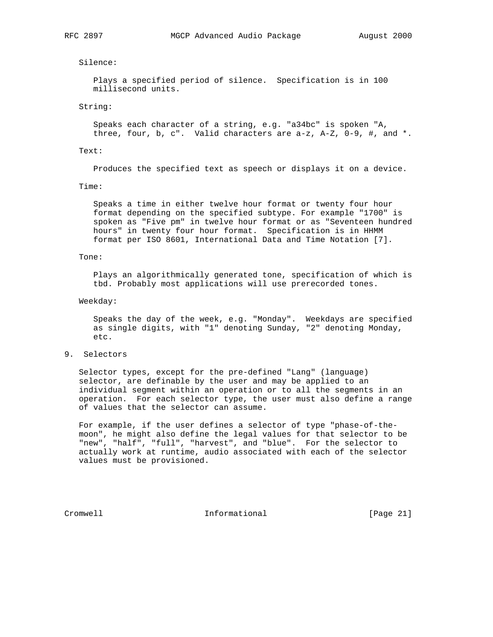Silence:

 Plays a specified period of silence. Specification is in 100 millisecond units.

String:

 Speaks each character of a string, e.g. "a34bc" is spoken "A, three, four, b, c". Valid characters are  $a-z$ ,  $A-Z$ ,  $0-9$ , #, and  $*$ .

Text:

Produces the specified text as speech or displays it on a device.

Time:

 Speaks a time in either twelve hour format or twenty four hour format depending on the specified subtype. For example "1700" is spoken as "Five pm" in twelve hour format or as "Seventeen hundred hours" in twenty four hour format. Specification is in HHMM format per ISO 8601, International Data and Time Notation [7].

#### Tone:

 Plays an algorithmically generated tone, specification of which is tbd. Probably most applications will use prerecorded tones.

Weekday:

 Speaks the day of the week, e.g. "Monday". Weekdays are specified as single digits, with "1" denoting Sunday, "2" denoting Monday, etc.

## 9. Selectors

 Selector types, except for the pre-defined "Lang" (language) selector, are definable by the user and may be applied to an individual segment within an operation or to all the segments in an operation. For each selector type, the user must also define a range of values that the selector can assume.

 For example, if the user defines a selector of type "phase-of-the moon", he might also define the legal values for that selector to be "new", "half", "full", "harvest", and "blue". For the selector to actually work at runtime, audio associated with each of the selector values must be provisioned.

Cromwell Informational [Page 21]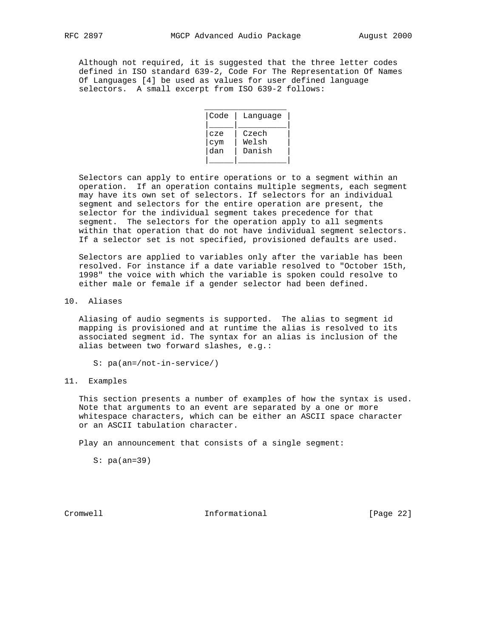Although not required, it is suggested that the three letter codes defined in ISO standard 639-2, Code For The Representation Of Names Of Languages [4] be used as values for user defined language selectors. A small excerpt from ISO 639-2 follows:

| Language |
|----------|
|          |
| Czech    |
| Welsh    |
| Danish   |
|          |

 Selectors can apply to entire operations or to a segment within an operation. If an operation contains multiple segments, each segment may have its own set of selectors. If selectors for an individual segment and selectors for the entire operation are present, the selector for the individual segment takes precedence for that segment. The selectors for the operation apply to all segments within that operation that do not have individual segment selectors. If a selector set is not specified, provisioned defaults are used.

 Selectors are applied to variables only after the variable has been resolved. For instance if a date variable resolved to "October 15th, 1998" the voice with which the variable is spoken could resolve to either male or female if a gender selector had been defined.

10. Aliases

 Aliasing of audio segments is supported. The alias to segment id mapping is provisioned and at runtime the alias is resolved to its associated segment id. The syntax for an alias is inclusion of the alias between two forward slashes, e.g.:

- S: pa(an=/not-in-service/)
- 11. Examples

 This section presents a number of examples of how the syntax is used. Note that arguments to an event are separated by a one or more whitespace characters, which can be either an ASCII space character or an ASCII tabulation character.

Play an announcement that consists of a single segment:

S: pa(an=39)

Cromwell Informational [Page 22]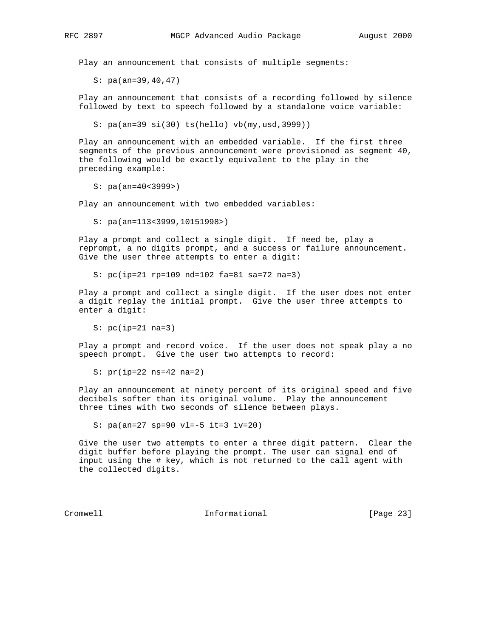Play an announcement that consists of multiple segments:

S: pa(an=39,40,47)

 Play an announcement that consists of a recording followed by silence followed by text to speech followed by a standalone voice variable:

S: pa(an=39 si(30) ts(hello) vb(my,usd,3999))

 Play an announcement with an embedded variable. If the first three segments of the previous announcement were provisioned as segment 40, the following would be exactly equivalent to the play in the preceding example:

S: pa(an=40<3999>)

Play an announcement with two embedded variables:

S: pa(an=113<3999,10151998>)

 Play a prompt and collect a single digit. If need be, play a reprompt, a no digits prompt, and a success or failure announcement. Give the user three attempts to enter a digit:

S: pc(ip=21 rp=109 nd=102 fa=81 sa=72 na=3)

 Play a prompt and collect a single digit. If the user does not enter a digit replay the initial prompt. Give the user three attempts to enter a digit:

S: pc(ip=21 na=3)

 Play a prompt and record voice. If the user does not speak play a no speech prompt. Give the user two attempts to record:

S: pr(ip=22 ns=42 na=2)

 Play an announcement at ninety percent of its original speed and five decibels softer than its original volume. Play the announcement three times with two seconds of silence between plays.

S: pa(an=27 sp=90 vl=-5 it=3 iv=20)

 Give the user two attempts to enter a three digit pattern. Clear the digit buffer before playing the prompt. The user can signal end of input using the # key, which is not returned to the call agent with the collected digits.

Cromwell Informational [Page 23]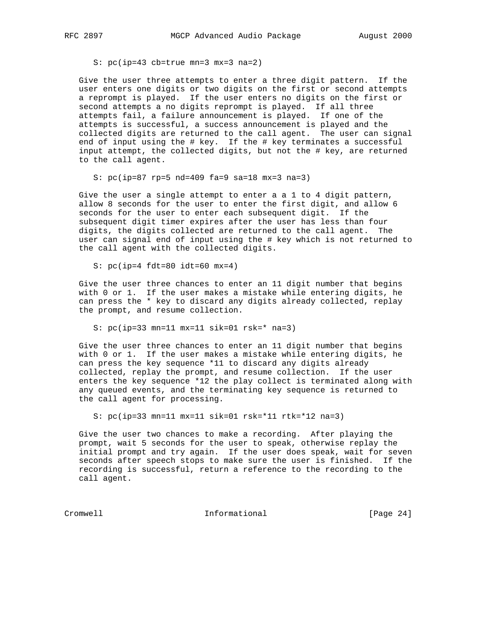S: pc(ip=43 cb=true mn=3 mx=3 na=2)

 Give the user three attempts to enter a three digit pattern. If the user enters one digits or two digits on the first or second attempts a reprompt is played. If the user enters no digits on the first or second attempts a no digits reprompt is played. If all three attempts fail, a failure announcement is played. If one of the attempts is successful, a success announcement is played and the collected digits are returned to the call agent. The user can signal end of input using the # key. If the # key terminates a successful input attempt, the collected digits, but not the # key, are returned to the call agent.

S: pc(ip=87 rp=5 nd=409 fa=9 sa=18 mx=3 na=3)

 Give the user a single attempt to enter a a 1 to 4 digit pattern, allow 8 seconds for the user to enter the first digit, and allow 6 seconds for the user to enter each subsequent digit. If the subsequent digit timer expires after the user has less than four digits, the digits collected are returned to the call agent. The user can signal end of input using the # key which is not returned to the call agent with the collected digits.

S:  $pc(ip=4$   $fdt=80$   $idt=60$   $mx=4)$ 

 Give the user three chances to enter an 11 digit number that begins with 0 or 1. If the user makes a mistake while entering digits, he can press the \* key to discard any digits already collected, replay the prompt, and resume collection.

S: pc(ip=33 mn=11 mx=11 sik=01 rsk=\* na=3)

 Give the user three chances to enter an 11 digit number that begins with 0 or 1. If the user makes a mistake while entering digits, he can press the key sequence \*11 to discard any digits already collected, replay the prompt, and resume collection. If the user enters the key sequence \*12 the play collect is terminated along with any queued events, and the terminating key sequence is returned to the call agent for processing.

S: pc(ip=33 mn=11 mx=11 sik=01 rsk=\*11 rtk=\*12 na=3)

 Give the user two chances to make a recording. After playing the prompt, wait 5 seconds for the user to speak, otherwise replay the initial prompt and try again. If the user does speak, wait for seven seconds after speech stops to make sure the user is finished. If the recording is successful, return a reference to the recording to the call agent.

Cromwell **Informational Informational** [Page 24]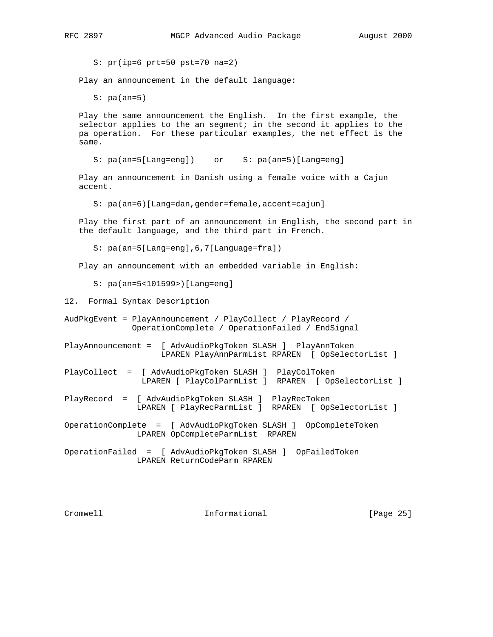S: pr(ip=6 prt=50 pst=70 na=2)

Play an announcement in the default language:

 $S: pa(an=5)$ 

 Play the same announcement the English. In the first example, the selector applies to the an segment; in the second it applies to the pa operation. For these particular examples, the net effect is the same.

S: pa(an=5[Lang=eng]) or S: pa(an=5)[Lang=eng]

 Play an announcement in Danish using a female voice with a Cajun accent.

S: pa(an=6)[Lang=dan,gender=female,accent=cajun]

 Play the first part of an announcement in English, the second part in the default language, and the third part in French.

S: pa(an=5[Lang=eng],6,7[Language=fra])

Play an announcement with an embedded variable in English:

S: pa(an=5<101599>)[Lang=eng]

12. Formal Syntax Description

AudPkgEvent = PlayAnnouncement / PlayCollect / PlayRecord / OperationComplete / OperationFailed / EndSignal

PlayAnnouncement = [ AdvAudioPkgToken SLASH ] PlayAnnToken LPAREN PlayAnnParmList RPAREN [ OpSelectorList ]

PlayCollect = [ AdvAudioPkgToken SLASH ] PlayColToken LPAREN [ PlayColParmList ] RPAREN [ OpSelectorList ]

PlayRecord = [ AdvAudioPkgToken SLASH ] PlayRecToken LPAREN [ PlayRecParmList ] RPAREN [ OpSelectorList ]

OperationComplete = [ AdvAudioPkgToken SLASH ] OpCompleteToken LPAREN OpCompleteParmList RPAREN

OperationFailed = [ AdvAudioPkgToken SLASH ] OpFailedToken LPAREN ReturnCodeParm RPAREN

Cromwell Informational [Page 25]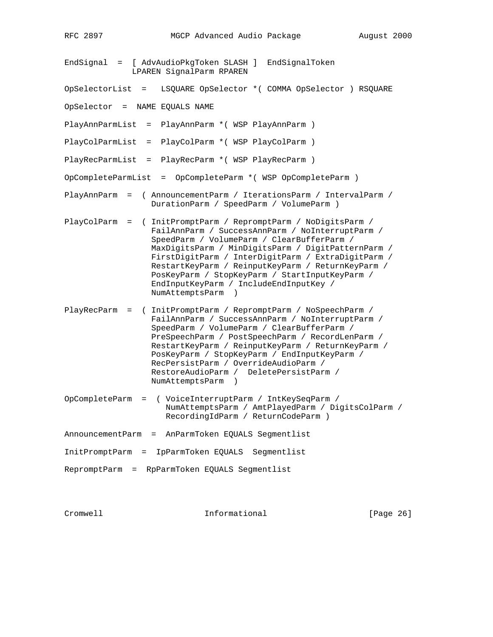- EndSignal = [ AdvAudioPkgToken SLASH ] EndSignalToken LPAREN SignalParm RPAREN
- OpSelectorList = LSQUARE OpSelector \*( COMMA OpSelector ) RSQUARE

OpSelector = NAME EQUALS NAME

PlayAnnParmList = PlayAnnParm \*( WSP PlayAnnParm )

PlayColParmList = PlayColParm \*( WSP PlayColParm )

PlayRecParmList = PlayRecParm \*( WSP PlayRecParm )

OpCompleteParmList = OpCompleteParm \*( WSP OpCompleteParm )

- PlayAnnParm = ( AnnouncementParm / IterationsParm / IntervalParm / DurationParm / SpeedParm / VolumeParm )
- PlayColParm = ( InitPromptParm / RepromptParm / NoDigitsParm / FailAnnParm / SuccessAnnParm / NoInterruptParm / SpeedParm / VolumeParm / ClearBufferParm / MaxDigitsParm / MinDigitsParm / DigitPatternParm / FirstDigitParm / InterDigitParm / ExtraDigitParm / RestartKeyParm / ReinputKeyParm / ReturnKeyParm / PosKeyParm / StopKeyParm / StartInputKeyParm / EndInputKeyParm / IncludeEndInputKey / NumAttemptsParm )
- PlayRecParm = ( InitPromptParm / RepromptParm / NoSpeechParm / FailAnnParm / SuccessAnnParm / NoInterruptParm / SpeedParm / VolumeParm / ClearBufferParm / PreSpeechParm / PostSpeechParm / RecordLenParm / RestartKeyParm / ReinputKeyParm / ReturnKeyParm / PosKeyParm / StopKeyParm / EndInputKeyParm / RecPersistParm / OverrideAudioParm / RestoreAudioParm / DeletePersistParm / NumAttemptsParm )
- OpCompleteParm = ( VoiceInterruptParm / IntKeySeqParm / NumAttemptsParm / AmtPlayedParm / DigitsColParm / RecordingIdParm / ReturnCodeParm )
- AnnouncementParm = AnParmToken EQUALS Segmentlist
- InitPromptParm = IpParmToken EQUALS Segmentlist

RepromptParm = RpParmToken EQUALS Segmentlist

Cromwell Informational [Page 26]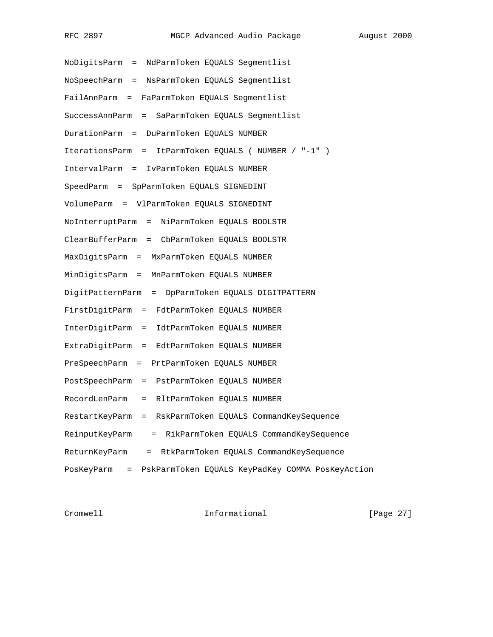| NoDigitsParm = NdParmToken EQUALS Segmentlist                 |
|---------------------------------------------------------------|
| NoSpeechParm = NsParmToken EQUALS Segmentlist                 |
| FailAnnParm = FaParmToken EQUALS Segmentlist                  |
| SuccessAnnParm = SaParmToken EQUALS Segmentlist               |
| DurationParm = DuParmToken EQUALS NUMBER                      |
| IterationsParm = ItParmToken EQUALS ( NUMBER / "-1" )         |
| IntervalParm = IvParmToken EQUALS NUMBER                      |
| SpeedParm = SpParmToken EQUALS SIGNEDINT                      |
| VolumeParm = VlParmToken EQUALS SIGNEDINT                     |
| NoInterruptParm = NiParmToken EQUALS BOOLSTR                  |
| ClearBufferParm = CbParmToken EQUALS BOOLSTR                  |
| MaxDigitsParm = MxParmToken EQUALS NUMBER                     |
| MinDigitsParm = MnParmToken EQUALS NUMBER                     |
| DigitPatternParm = DpParmToken EQUALS DIGITPATTERN            |
| FirstDigitParm = FdtParmToken EQUALS NUMBER                   |
| InterDigitParm = IdtParmToken EQUALS NUMBER                   |
| ExtraDigitParm = EdtParmToken EQUALS NUMBER                   |
| PreSpeechParm = PrtParmToken EQUALS NUMBER                    |
| PostSpeechParm = PstParmToken EQUALS NUMBER                   |
| RecordLenParm = RltParmToken EQUALS NUMBER                    |
| RestartKeyParm = RskParmToken EQUALS CommandKeySequence       |
| ReinputKeyParm = RikParmToken EQUALS CommandKeySequence       |
| ReturnKeyParm = RtkParmToken EQUALS CommandKeySequence        |
| PosKeyParm = PskParmToken EQUALS KeyPadKey COMMA PosKeyAction |

Cromwell **Informational** Informational [Page 27]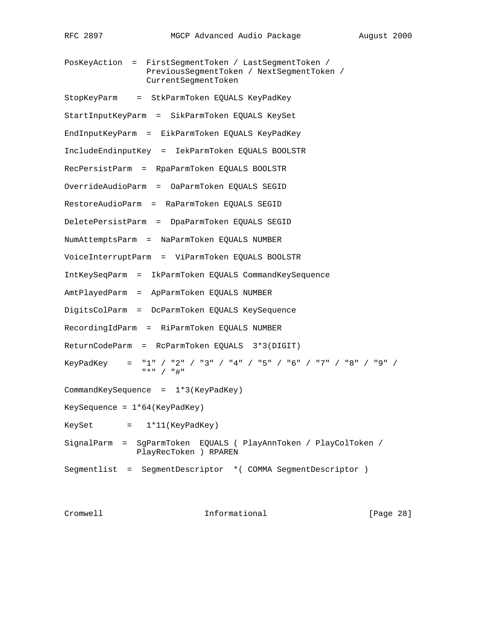| PosKeyAction = FirstSegmentToken / LastSegmentToken /<br>PreviousSegmentToken / NextSegmentToken /<br>CurrentSegmentToken          |
|------------------------------------------------------------------------------------------------------------------------------------|
| StopKeyParm = StkParmToken EQUALS KeyPadKey                                                                                        |
| StartInputKeyParm = SikParmToken EQUALS KeySet                                                                                     |
| EndInputKeyParm = EikParmToken EQUALS KeyPadKey                                                                                    |
| IncludeEndinputKey = IekParmToken EQUALS BOOLSTR                                                                                   |
| RecPersistParm = RpaParmToken EQUALS BOOLSTR                                                                                       |
| OverrideAudioParm = OaParmToken EQUALS SEGID                                                                                       |
| RestoreAudioParm = RaParmToken EQUALS SEGID                                                                                        |
| DeletePersistParm = DpaParmToken EQUALS SEGID                                                                                      |
| NumAttemptsParm = NaParmToken EQUALS NUMBER                                                                                        |
| VoiceInterruptParm = ViParmToken EQUALS BOOLSTR                                                                                    |
| IntKeySeqParm = IkParmToken EQUALS CommandKeySequence                                                                              |
| AmtPlayedParm = ApParmToken EQUALS NUMBER                                                                                          |
| DigitsColParm = DcParmToken EQUALS KeySequence                                                                                     |
| RecordingIdParm = RiParmToken EQUALS NUMBER                                                                                        |
| ReturnCodeParm = RcParmToken EQUALS 3*3(DIGIT)                                                                                     |
| KeyPadKey = "1" / "2" / "3" / "4" / "5" / "6" / "7" / "8" / "9" /<br>$\begin{array}{ccccc} n & \star & n & / & n \# n \end{array}$ |
| $CommandKeySequence = 1*3(KeyPadKey)$                                                                                              |
| KeySequence = 1*64(KeyPadKey)                                                                                                      |
| $KeySet = 1*11(KeyPadKey)$                                                                                                         |
| SignalParm = SgParmToken EQUALS ( PlayAnnToken / PlayColToken /<br>PlayRecToken ) RPAREN                                           |
| Segmentlist = SegmentDescriptor * ( COMMA SegmentDescriptor )                                                                      |

Cromwell **Informational** Informational [Page 28]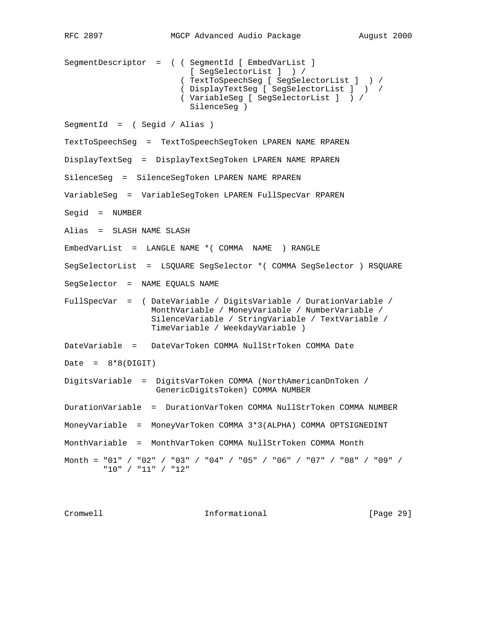```
RFC 2897 MGCP Advanced Audio Package August 2000
SegmentDescriptor = ( ( SegmentId [ EmbedVarList ]
                          [ SegSelectorList ] ) /
                        ( TextToSpeechSeg [ SegSelectorList ] ) /
                        ( DisplayTextSeg [ SegSelectorList ] ) /
                        ( VariableSeg [ SegSelectorList ] ) /
                          SilenceSeg )
SegmentId = ( Segid / Alias )
TextToSpeechSeg = TextToSpeechSegToken LPAREN NAME RPAREN
DisplayTextSeg = DisplayTextSegToken LPAREN NAME RPAREN
SilenceSeg = SilenceSegToken LPAREN NAME RPAREN
VariableSeg = VariableSegToken LPAREN FullSpecVar RPAREN
Segid = NUMBER
Alias = SLASH NAME SLASH
EmbedVarList = LANGLE NAME *( COMMA NAME ) RANGLE
SegSelectorList = LSQUARE SegSelector *( COMMA SegSelector ) RSQUARE
SegSelector = NAME EQUALS NAME
FullSpecVar = ( DateVariable / DigitsVariable / DurationVariable /
                  MonthVariable / MoneyVariable / NumberVariable /
                  SilenceVariable / StringVariable / TextVariable /
                  TimeVariable / WeekdayVariable )
DateVariable = DateVarToken COMMA NullStrToken COMMA Date
Date = 8*8(DIGIT)DigitsVariable = DigitsVarToken COMMA (NorthAmericanDnToken /
                   GenericDigitsToken) COMMA NUMBER
DurationVariable = DurationVarToken COMMA NullStrToken COMMA NUMBER
```
MoneyVariable = MoneyVarToken COMMA 3\*3(ALPHA) COMMA OPTSIGNEDINT

MonthVariable = MonthVarToken COMMA NullStrToken COMMA Month

Month = "01" / "02" / "03" / "04" / "05" / "06" / "07" / "08" / "09" / "10" / "11" / "12"

| Cromwell | Informational | [Page 29] |  |
|----------|---------------|-----------|--|
|----------|---------------|-----------|--|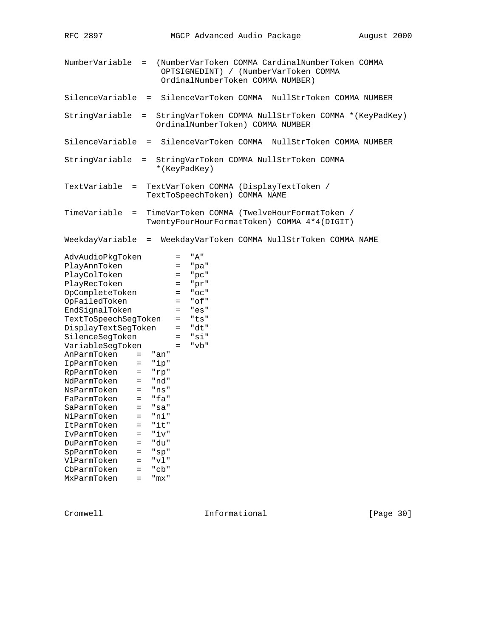| RFC 2897                   |            |              | MGCP Advanced Audio Package      |                                                                                            | August 2000 |
|----------------------------|------------|--------------|----------------------------------|--------------------------------------------------------------------------------------------|-------------|
|                            |            |              |                                  |                                                                                            |             |
| NumberVariable             | $=$        |              | OrdinalNumberToken COMMA NUMBER) | (NumberVarToken COMMA CardinalNumberToken COMMA<br>OPTSIGNEDINT) / (NumberVarToken COMMA   |             |
|                            |            |              |                                  | SilenceVariable = SilenceVarToken COMMA NullStrToken COMMA NUMBER                          |             |
| StringVariable             | $=$        |              | OrdinalNumberToken) COMMA NUMBER | StringVarToken COMMA NullStrToken COMMA * (KeyPadKey)                                      |             |
|                            |            |              |                                  | SilenceVariable = SilenceVarToken COMMA NullStrToken COMMA NUMBER                          |             |
| StringVariable             |            |              | *(KeyPadKey)                     | = StringVarToken COMMA NullStrToken COMMA                                                  |             |
| TextVariable               | $=$        |              | TextToSpeechToken) COMMA NAME    | TextVarToken COMMA (DisplayTextToken /                                                     |             |
| TimeVariable               | $=$        |              |                                  | TimeVarToken COMMA (TwelveHourFormatToken /<br>TwentyFourHourFormatToken) COMMA 4*4(DIGIT) |             |
| WeekdayVariable            |            | $=$          |                                  | WeekdayVarToken COMMA NullStrToken COMMA NAME                                              |             |
| AdvAudioPkqToken           |            | $=$          | " A "                            |                                                                                            |             |
| PlayAnnToken               |            | $=$          | "pa"                             |                                                                                            |             |
| PlayColToken               |            | $=$          | "pc"                             |                                                                                            |             |
| PlayRecToken               |            | $=$          | "pr"                             |                                                                                            |             |
| OpCompleteToken            |            | $=$          | $"$ OC $"$                       |                                                                                            |             |
| OpFailedToken              |            | $=$          | "of"                             |                                                                                            |             |
| EndSignalToken             |            | $=$          | "es"                             |                                                                                            |             |
| TextToSpeechSegToken       |            | $=$          | "ts"                             |                                                                                            |             |
| DisplayTextSegToken        |            | $=$          | "dt"                             |                                                                                            |             |
| SilenceSegToken            |            | $=$          | "si"                             |                                                                                            |             |
| VariableSegToken           |            | $=$          | "vb"                             |                                                                                            |             |
| AnParmToken                | $=$        | "an"         |                                  |                                                                                            |             |
| IpParmToken                |            | $=$ "ip"     |                                  |                                                                                            |             |
| --<br>RpParmToken          | $=$        | "rp"         |                                  |                                                                                            |             |
| NdParmToken                | $=$        | "nd"         |                                  |                                                                                            |             |
| NsParmToken =              |            | "ns"         |                                  |                                                                                            |             |
| FaParmToken                | =          | "fa"         |                                  |                                                                                            |             |
| SaParmToken<br>NiParmToken | Ξ          | "sa"<br>"ni" |                                  |                                                                                            |             |
| ItParmToken                | Ξ          | "it"         |                                  |                                                                                            |             |
| IvParmToken                | $=$<br>$=$ | "iv"         |                                  |                                                                                            |             |
| DuParmToken                | $=$        | "du"         |                                  |                                                                                            |             |
| SpParmToken                | $=$        | "sp"         |                                  |                                                                                            |             |
| VlParmToken                | $=$        | "vl"         |                                  |                                                                                            |             |
| CbParmToken                | $=$        | "cb"         |                                  |                                                                                            |             |
| MxParmToken                | $=$        | "mx"         |                                  |                                                                                            |             |
|                            |            |              |                                  |                                                                                            |             |

Cromwell **Informational Informational** [Page 30]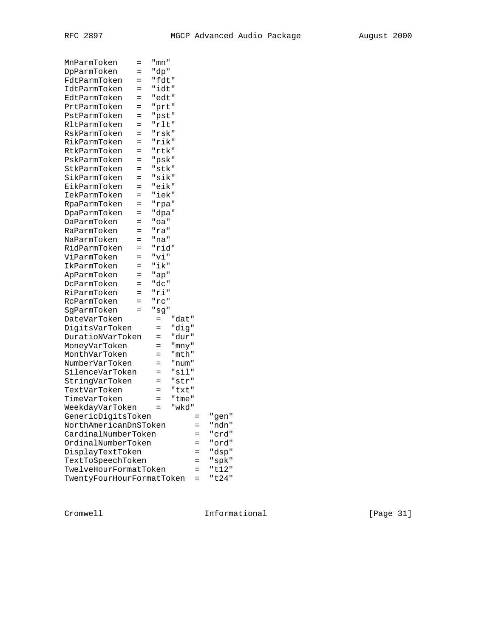| MnParmToken               | $=$ | " mn " |       |     |           |
|---------------------------|-----|--------|-------|-----|-----------|
| DpParmToken               | =   | "dp"   |       |     |           |
| FdtParmToken              | $=$ | "fdt"  |       |     |           |
| IdtParmToken              | $=$ | "idt"  |       |     |           |
| EdtParmToken              | $=$ | "edt"  |       |     |           |
| PrtParmToken              |     |        |       |     |           |
| PstParmToken              | $=$ | "prt"  |       |     |           |
|                           | $=$ | "pst"  |       |     |           |
| RltParmToken              | $=$ | "rlt"  |       |     |           |
| RskParmToken              | $=$ | "rsk"  |       |     |           |
| RikParmToken              | $=$ | "rik"  |       |     |           |
| RtkParmToken              | $=$ | "rtk"  |       |     |           |
| PskParmToken              | $=$ | "psk"  |       |     |           |
| StkParmToken              | $=$ | "stk"  |       |     |           |
| SikParmToken              | =   | "sik"  |       |     |           |
| EikParmToken              | $=$ | "eik"  |       |     |           |
| IekParmToken              | $=$ | "iek"  |       |     |           |
| RpaParmToken              | $=$ | "rpa"  |       |     |           |
| DpaParmToken              | $=$ | "dpa"  |       |     |           |
| OaParmToken               | =   | "oa"   |       |     |           |
| RaParmToken               | =   | "ra"   |       |     |           |
| NaParmToken               | $=$ | "na"   |       |     |           |
| RidParmToken              | $=$ | "rid"  |       |     |           |
| ViParmToken               | =   | "vi"   |       |     |           |
| IkParmToken               | $=$ | "ik"   |       |     |           |
| ApParmToken               | =   | "ap"   |       |     |           |
| DcParmToken               |     | "dc"   |       |     |           |
| RiParmToken               | $=$ | "ri"   |       |     |           |
| RcParmToken               | $=$ | "rc"   |       |     |           |
| SqParmToken               | $=$ | "sg"   |       |     |           |
| DateVarToken              |     | $=$    | "dat" |     |           |
| DigitsVarToken            |     | $=$    | "dig" |     |           |
| DuratioNVarToken          |     | =      | "dur" |     |           |
| MoneyVarToken             |     | =      | "mny" |     |           |
| MonthVarToken             |     | =      | "mth" |     |           |
| NumberVarToken            |     | Ξ      | "num" |     |           |
| SilenceVarToken           |     | =      | "sil" |     |           |
| StringVarToken            |     | =      | "str" |     |           |
| TextVarToken              |     | Ξ      | "txt" |     |           |
| TimeVarToken              |     | $=$    | "tme" |     |           |
| WeekdayVarToken           |     | $=$    | "wkd" |     |           |
| GenericDigitsToken        |     |        |       |     | "gen"     |
| NorthAmericanDnSToken     |     |        |       | $=$ | "ndn"     |
| CardinalNumberToken       |     |        |       |     | "crd"     |
| OrdinalNumberToken        |     |        |       | =   | "ord"     |
| DisplayTextToken          |     |        |       |     | "dsp"     |
| TextToSpeechToken         |     |        |       |     | "spk"     |
| TwelveHourFormatToken     |     |        |       | $=$ | " $t12$ " |
| TwentyFourHourFormatToken |     |        |       | $=$ | "t24"     |
|                           |     |        |       |     |           |

Cromwell **Informational** Informational [Page 31]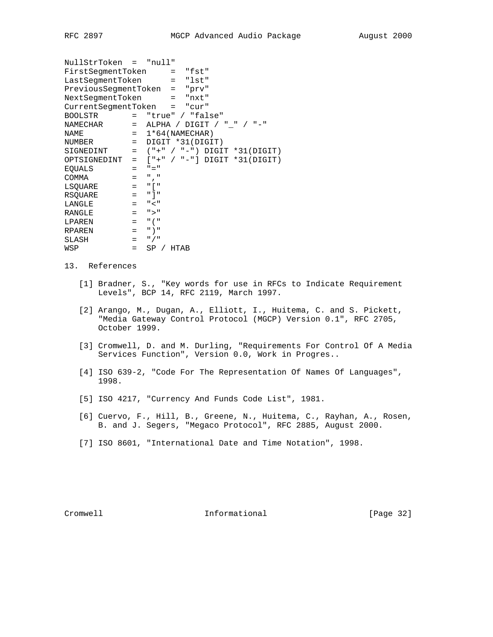| NullStrToken = "null"                                                                                                                                                                                                                                                                                                                                                                                                                                                   |     |                                               |           |  |  |
|-------------------------------------------------------------------------------------------------------------------------------------------------------------------------------------------------------------------------------------------------------------------------------------------------------------------------------------------------------------------------------------------------------------------------------------------------------------------------|-----|-----------------------------------------------|-----------|--|--|
| FirstSegmentToken = "fst"                                                                                                                                                                                                                                                                                                                                                                                                                                               |     |                                               |           |  |  |
| LastSegmentToken                                                                                                                                                                                                                                                                                                                                                                                                                                                        |     |                                               | $=$ "lst" |  |  |
| PreviousSegmentToken = "prv"                                                                                                                                                                                                                                                                                                                                                                                                                                            |     |                                               |           |  |  |
| NextSeqmentToken                                                                                                                                                                                                                                                                                                                                                                                                                                                        |     | $=$ "nxt"                                     |           |  |  |
| CurrentSegmentToken = "cur"                                                                                                                                                                                                                                                                                                                                                                                                                                             |     |                                               |           |  |  |
| BOOLSTR                                                                                                                                                                                                                                                                                                                                                                                                                                                                 |     | = "true" / "false"                            |           |  |  |
|                                                                                                                                                                                                                                                                                                                                                                                                                                                                         |     |                                               |           |  |  |
| NAME                                                                                                                                                                                                                                                                                                                                                                                                                                                                    |     | $= 1*64$ (NAMECHAR)                           |           |  |  |
| NUMBER                                                                                                                                                                                                                                                                                                                                                                                                                                                                  |     | $=$ DIGIT *31(DIGIT)                          |           |  |  |
| SIGNEDINT $=$ $(*+" / "-" )$ DIGIT *31(DIGIT)                                                                                                                                                                                                                                                                                                                                                                                                                           |     |                                               |           |  |  |
| OPTSIGNEDINT = $[$ "+" / "-"] DIGIT *31(DIGIT)                                                                                                                                                                                                                                                                                                                                                                                                                          |     |                                               |           |  |  |
| EQUALS                                                                                                                                                                                                                                                                                                                                                                                                                                                                  |     | $=$ $" ="$                                    |           |  |  |
| COMMA                                                                                                                                                                                                                                                                                                                                                                                                                                                                   |     | $=$ $\frac{1}{2}$ $\frac{1}{2}$ $\frac{1}{2}$ |           |  |  |
| $\mathcal{L} = \mathcal{L} \mathcal{L} \mathcal{L} \mathcal{L} \mathcal{L} \mathcal{L} \mathcal{L} \mathcal{L} \mathcal{L} \mathcal{L} \mathcal{L} \mathcal{L} \mathcal{L} \mathcal{L} \mathcal{L} \mathcal{L} \mathcal{L} \mathcal{L} \mathcal{L} \mathcal{L} \mathcal{L} \mathcal{L} \mathcal{L} \mathcal{L} \mathcal{L} \mathcal{L} \mathcal{L} \mathcal{L} \mathcal{L} \mathcal{L} \mathcal{L} \mathcal{L} \mathcal{L} \mathcal{L} \mathcal{L} \mathcal$<br>LSQUARE |     |                                               |           |  |  |
| $\mathcal{L} = \mathcal{L} \mathcal{L} \mathcal{L} \mathcal{L} \mathcal{L} \mathcal{L} \mathcal{L} \mathcal{L} \mathcal{L} \mathcal{L} \mathcal{L} \mathcal{L} \mathcal{L} \mathcal{L} \mathcal{L} \mathcal{L} \mathcal{L} \mathcal{L} \mathcal{L} \mathcal{L} \mathcal{L} \mathcal{L} \mathcal{L} \mathcal{L} \mathcal{L} \mathcal{L} \mathcal{L} \mathcal{L} \mathcal{L} \mathcal{L} \mathcal{L} \mathcal{L} \mathcal{L} \mathcal{L} \mathcal{L} \mathcal$<br>RSQUARE |     |                                               |           |  |  |
| LANGLE                                                                                                                                                                                                                                                                                                                                                                                                                                                                  |     | $=$ $"$ $<$ "                                 |           |  |  |
| RANGLE                                                                                                                                                                                                                                                                                                                                                                                                                                                                  |     | $=$ $">$ "                                    |           |  |  |
| LPAREN                                                                                                                                                                                                                                                                                                                                                                                                                                                                  |     | $=$ " ("                                      |           |  |  |
| RPAREN                                                                                                                                                                                                                                                                                                                                                                                                                                                                  |     | $=$ " )"                                      |           |  |  |
| SLASH                                                                                                                                                                                                                                                                                                                                                                                                                                                                   |     | $=$ "/"                                       |           |  |  |
| WSP                                                                                                                                                                                                                                                                                                                                                                                                                                                                     | $=$ | SP / HTAB                                     |           |  |  |

# 13. References

- [1] Bradner, S., "Key words for use in RFCs to Indicate Requirement Levels", BCP 14, RFC 2119, March 1997.
	- [2] Arango, M., Dugan, A., Elliott, I., Huitema, C. and S. Pickett, "Media Gateway Control Protocol (MGCP) Version 0.1", RFC 2705, October 1999.
	- [3] Cromwell, D. and M. Durling, "Requirements For Control Of A Media Services Function", Version 0.0, Work in Progres..
	- [4] ISO 639-2, "Code For The Representation Of Names Of Languages", 1998.
	- [5] ISO 4217, "Currency And Funds Code List", 1981.
	- [6] Cuervo, F., Hill, B., Greene, N., Huitema, C., Rayhan, A., Rosen, B. and J. Segers, "Megaco Protocol", RFC 2885, August 2000.
	- [7] ISO 8601, "International Date and Time Notation", 1998.

## Cromwell Informational [Page 32]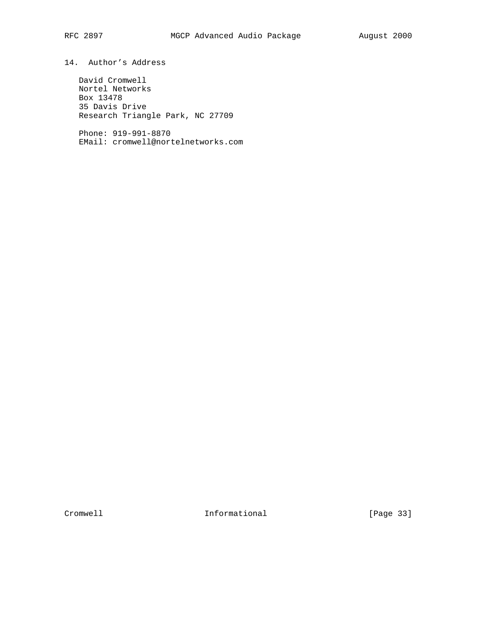14. Author's Address

 David Cromwell Nortel Networks Box 13478 35 Davis Drive Research Triangle Park, NC 27709

 Phone: 919-991-8870 EMail: cromwell@nortelnetworks.com

Cromwell Informational [Page 33]